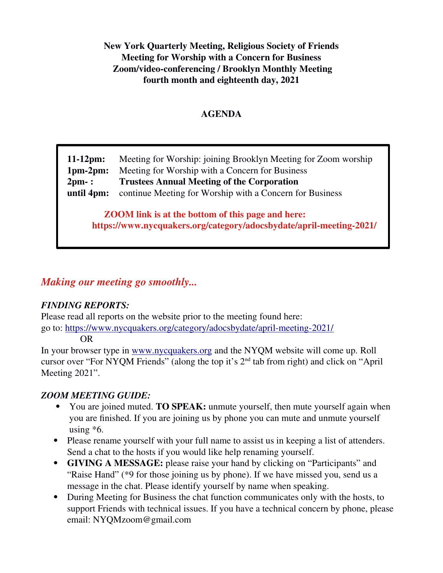**New York Quarterly Meeting, Religious Society of Friends Meeting for Worship with a Concern for Business Zoom/video-conferencing / Brooklyn Monthly Meeting fourth month and eighteenth day, 2021**

### **AGENDA**

**11-12pm:** Meeting for Worship: joining Brooklyn Meeting for Zoom worship **1pm-2pm:** Meeting for Worship with a Concern for Business **2pm- : Trustees Annual Meeting of the Corporation until 4pm:** continue Meeting for Worship with a Concern for Business

**ZOOM link is at the bottom of this page and here: https://www.nycquakers.org/category/adocsbydate/april-meeting-2021/**

# *Making our meeting go smoothly...*

#### *FINDING REPORTS:*

Please read all reports on the website prior to the meeting found here: go to: https://www.nycquakers.org/category/adocsbydate/april-meeting-2021/

OR

In your browser type in [www.nycquakers.org](http://www.nycquakers.org/) and the NYQM website will come up. Roll cursor over "For NYQM Friends" (along the top it's 2nd tab from right) and click on "April Meeting 2021".

# *ZOOM MEETING GUIDE:*

- You are joined muted. **TO SPEAK:** unmute yourself, then mute yourself again when you are finished. If you are joining us by phone you can mute and unmute yourself using  $*6$ .
- Please rename yourself with your full name to assist us in keeping a list of attenders. Send a chat to the hosts if you would like help renaming yourself.
- **GIVING A MESSAGE:** please raise your hand by clicking on "Participants" and "Raise Hand" (\*9 for those joining us by phone). If we have missed you, send us a message in the chat. Please identify yourself by name when speaking.
- During Meeting for Business the chat function communicates only with the hosts, to support Friends with technical issues. If you have a technical concern by phone, please email: NYQMzoom@gmail.com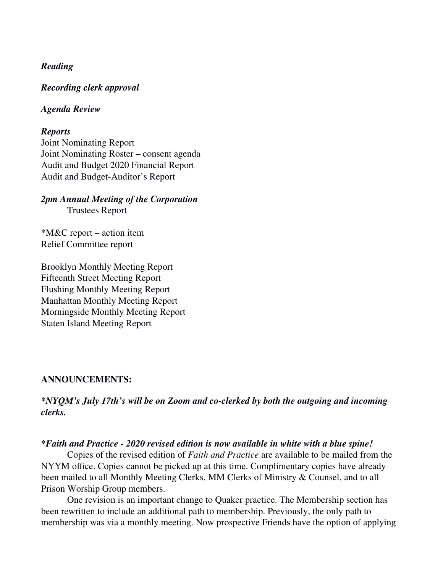#### *Reading*

*Recording clerk approval*

#### *Agenda Review*

#### *Reports*

Joint Nominating Report Joint Nominating Roster – consent agenda Audit and Budget 2020 Financial Report Audit and Budget-Auditor's Report

#### *2pm Annual Meeting of the Corporation* Trustees Report

\*M&C report – action item Relief Committee report

Brooklyn Monthly Meeting Report Fifteenth Street Meeting Report Flushing Monthly Meeting Report Manhattan Monthly Meeting Report Morningside Monthly Meeting Report Staten Island Meeting Report

#### **ANNOUNCEMENTS:**

#### *\*NYQM's July 17th's will be on Zoom and co-clerked by both the outgoing and incoming clerks.*

#### *\*Faith and Practice - 2020 revised edition is now available in white with a blue spine!*

Copies of the revised edition of *Faith and Practice* are available to be mailed from the NYYM office. Copies cannot be picked up at this time. Complimentary copies have already been mailed to all Monthly Meeting Clerks, MM Clerks of Ministry & Counsel, and to all Prison Worship Group members.

One revision is an important change to Quaker practice. The Membership section has been rewritten to include an additional path to membership. Previously, the only path to membership was via a monthly meeting. Now prospective Friends have the option of applying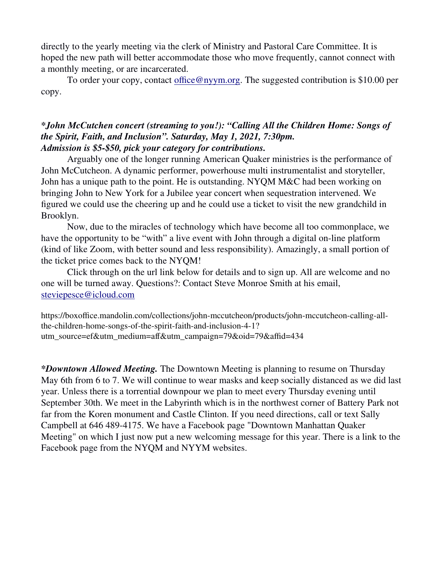directly to the yearly meeting via the clerk of Ministry and Pastoral Care Committee. It is hoped the new path will better accommodate those who move frequently, cannot connect with a monthly meeting, or are incarcerated.

To order your copy, contact [office@nyym.org](mailto:office@nyym.org). The suggested contribution is \$10.00 per copy.

#### *\*John McCutchen concert (streaming to you!): "Calling All the Children Home: Songs of the Spirit, Faith, and Inclusion". Saturday, May 1, 2021, 7:30pm. Admission is \$5-\$50, pick your category for contributions.*

Arguably one of the longer running American Quaker ministries is the performance of John McCutcheon. A dynamic performer, powerhouse multi instrumentalist and storyteller, John has a unique path to the point. He is outstanding. NYQM M&C had been working on bringing John to New York for a Jubilee year concert when sequestration intervened. We figured we could use the cheering up and he could use a ticket to visit the new grandchild in Brooklyn.

Now, due to the miracles of technology which have become all too commonplace, we have the opportunity to be "with" a live event with John through a digital on-line platform (kind of like Zoom, with better sound and less responsibility). Amazingly, a small portion of the ticket price comes back to the NYQM!

Click through on the url link below for details and to sign up. All are welcome and no one will be turned away. Questions?: Contact Steve Monroe Smith at his email, [steviepesce@icloud.com](mailto:steviepesce@icloud.com)

[https://boxoffice.mandolin.com/collections/john-mccutcheon/products/john-mccutcheon-calling-all](https://boxoffice.mandolin.com/collections/john-mccutcheon/products/john-mccutcheon-calling-all-the-children-home-songs-of-the-spirit-faith-and-inclusion-4-1?utm_source=ef&utm_medium=aff&utm_campaign=79&oid=79&affid=434)[the-children-home-songs-of-the-spirit-faith-and-inclusion-4-1?](https://boxoffice.mandolin.com/collections/john-mccutcheon/products/john-mccutcheon-calling-all-the-children-home-songs-of-the-spirit-faith-and-inclusion-4-1?utm_source=ef&utm_medium=aff&utm_campaign=79&oid=79&affid=434) [utm\\_source=ef&utm\\_medium=aff&utm\\_campaign=79&oid=79&affid=434](https://boxoffice.mandolin.com/collections/john-mccutcheon/products/john-mccutcheon-calling-all-the-children-home-songs-of-the-spirit-faith-and-inclusion-4-1?utm_source=ef&utm_medium=aff&utm_campaign=79&oid=79&affid=434)

*\*Downtown Allowed Meeting.* The Downtown Meeting is planning to resume on Thursday May 6th from 6 to 7. We will continue to wear masks and keep socially distanced as we did last year. Unless there is a torrential downpour we plan to meet every Thursday evening until September 30th. We meet in the Labyrinth which is in the northwest corner of Battery Park not far from the Koren monument and Castle Clinton. If you need directions, call or text Sally Campbell at 646 489-4175. We have a Facebook page "Downtown Manhattan Quaker Meeting" on which I just now put a new welcoming message for this year. There is a link to the Facebook page from the NYQM and NYYM websites.